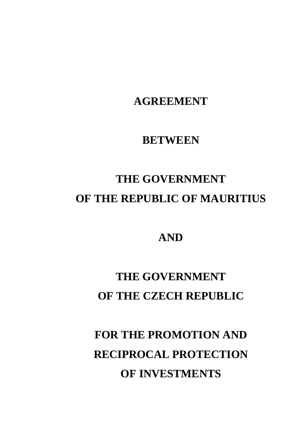# **FOR THE PROMOTION AND RECIPROCAL PROTECTION OF INVESTMENTS**

## **THE GOVERNMENT OF THE CZECH REPUBLIC**

### **AND**

# **THE GOVERNMENT OF THE REPUBLIC OF MAURITIUS**

### **BETWEEN**

## **AGREEMENT**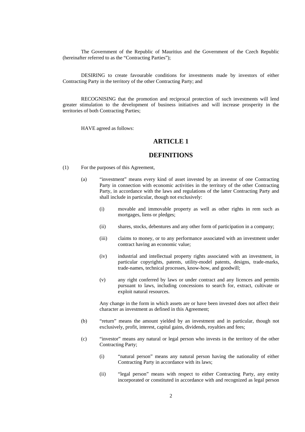The Government of the Republic of Mauritius and the Government of the Czech Republic (hereinafter referred to as the "Contracting Parties");

DESIRING to create favourable conditions for investments made by investors of either Contracting Party in the territory of the other Contracting Party; and

RECOGNISING that the promotion and reciprocal protection of such investments will lend greater stimulation to the development of business initiatives and will increase prosperity in the territories of both Contracting Parties;

HAVE agreed as follows:

#### **ARTICLE 1**

#### **DEFINITIONS**

- (1) For the purposes of this Agreement,
	- (a) "investment" means every kind of asset invested by an investor of one Contracting Party in connection with economic activities in the territory of the other Contracting Party, in accordance with the laws and regulations of the latter Contracting Party and shall include in particular, though not exclusively:
		- (i) movable and immovable property as well as other rights in rem such as mortgages, liens or pledges;
		- (ii) shares, stocks, debentures and any other form of participation in a company;
		- (iii) claims to money, or to any performance associated with an investment under contract having an economic value;
		- (iv) industrial and intellectual property rights associated with an investment, in particular copyrights, patents, utility-model patents, designs, trade-marks, trade-names, technical processes, know-how, and goodwill;
		- (v) any right conferred by laws or under contract and any licences and permits pursuant to laws, including concessions to search for, extract, cultivate or exploit natural resources.

Any change in the form in which assets are or have been invested does not affect their character as investment as defined in this Agreement;

- (b) "return" means the amount yielded by an investment and in particular, though not exclusively, profit, interest, capital gains, dividends, royalties and fees;
- (c) "investor" means any natural or legal person who invests in the territory of the other Contracting Party;
	- (i) "natural person" means any natural person having the nationality of either Contracting Party in accordance with its laws;
	- (ii) "legal person" means with respect to either Contracting Party, any entity incorporated or constituted in accordance with and recognized as legal person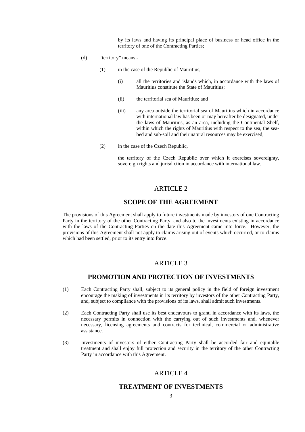by its laws and having its principal place of business or head office in the territory of one of the Contracting Parties;

- (d) "territory" means
	- (1) in the case of the Republic of Mauritius,
		- (i) all the territories and islands which, in accordance with the laws of Mauritius constitute the State of Mauritius;
		- (ii) the territorial sea of Mauritius; and
		- (iii) any area outside the territorial sea of Mauritius which in accordance with international law has been or may hereafter be designated, under the laws of Mauritius, as an area, including the Continental Shelf, within which the rights of Mauritius with respect to the sea, the seabed and sub-soil and their natural resources may be exercised;
	- (2) in the case of the Czech Republic,

 the territory of the Czech Republic over which it exercises sovereignty, sovereign rights and jurisdiction in accordance with international law.

#### ARTICLE<sub>2</sub>

#### **SCOPE OF THE AGREEMENT**

The provisions of this Agreement shall apply to future investments made by investors of one Contracting Party in the territory of the other Contracting Party, and also to the investments existing in accordance with the laws of the Contracting Parties on the date this Agreement came into force. However, the provisions of this Agreement shall not apply to claims arising out of events which occurred, or to claims which had been settled, prior to its entry into force.

#### ARTICLE 3

#### **PROMOTION AND PROTECTION OF INVESTMENTS**

- (1) Each Contracting Party shall, subject to its general policy in the field of foreign investment encourage the making of investments in its territory by investors of the other Contracting Party, and, subject to compliance with the provisions of its laws, shall admit such investments.
- (2) Each Contracting Party shall use its best endeavours to grant, in accordance with its laws, the necessary permits in connection with the carrying out of such investments and, whenever necessary, licensing agreements and contracts for technical, commercial or administrative assistance.
- (3) Investments of investors of either Contracting Party shall be accorded fair and equitable treatment and shall enjoy full protection and security in the territory of the other Contracting Party in accordance with this Agreement.

#### ARTICLE 4

#### **TREATMENT OF INVESTMENTS**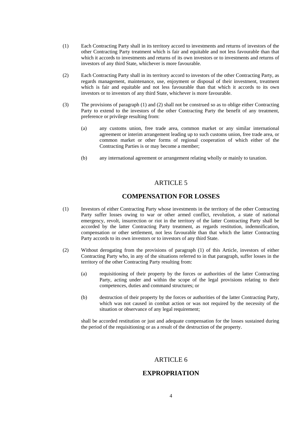- (1) Each Contracting Party shall in its territory accord to investments and returns of investors of the other Contracting Party treatment which is fair and equitable and not less favourable than that which it accords to investments and returns of its own investors or to investments and returns of investors of any third State, whichever is more favourable.
- (2) Each Contracting Party shall in its territory accord to investors of the other Contracting Party, as regards management, maintenance, use, enjoyment or disposal of their investment, treatment which is fair and equitable and not less favourable than that which it accords to its own investors or to investors of any third State, whichever is more favourable.
- (3) The provisions of paragraph (1) and (2) shall not be construed so as to oblige either Contracting Party to extend to the investors of the other Contracting Party the benefit of any treatment, preference or privilege resulting from:
	- (a) any customs union, free trade area, common market or any similar international agreement or interim arrangement leading up to such customs union, free trade area, or common market or other forms of regional cooperation of which either of the Contracting Parties is or may become a member;
	- (b) any international agreement or arrangement relating wholly or mainly to taxation.

#### **COMPENSATION FOR LOSSES**

- (1) Investors of either Contracting Party whose investments in the territory of the other Contracting Party suffer losses owing to war or other armed conflict, revolution, a state of national emergency, revolt, insurrection or riot in the territory of the latter Contracting Party shall be accorded by the latter Contracting Party treatment, as regards restitution, indemnification, compensation or other settlement, not less favourable than that which the latter Contracting Party accords to its own investors or to investors of any third State.
- (2) Without derogating from the provisions of paragraph (1) of this Article, investors of either Contracting Party who, in any of the situations referred to in that paragraph, suffer losses in the territory of the other Contracting Party resulting from:
	- (a) requisitioning of their property by the forces or authorities of the latter Contracting Party, acting under and within the scope of the legal provisions relating to their competences, duties and command structures; or
	- (b) destruction of their property by the forces or authorities of the latter Contracting Party, which was not caused in combat action or was not required by the necessity of the situation or observance of any legal requirement;

 shall be accorded restitution or just and adequate compensation for the losses sustained during the period of the requisitioning or as a result of the destruction of the property.

#### ARTICLE 6

#### **EXPROPRIATION**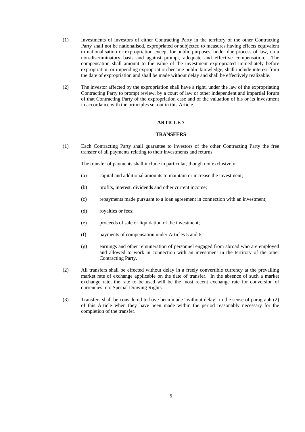- (1) Investments of investors of either Contracting Party in the territory of the other Contracting Party shall not be nationalised, expropriated or subjected to measures having effects equivalent to nationalisation or expropriation except for public purposes, under due process of law, on a non-discriminatory basis and against prompt, adequate and effective compensation. The compensation shall amount to the value of the investment expropriated immediately before expropriation or impending expropriation became public knowledge, shall include interest from the date of expropriation and shall be made without delay and shall be effectively realizable.
- (2) The investor affected by the expropriation shall have a right, under the law of the expropriating Contracting Party to prompt review, by a court of law or other independent and impartial forum of that Contracting Party of the expropriation case and of the valuation of his or its investment in accordance with the principles set out in this Article.

#### **TRANSFERS**

(1) Each Contracting Party shall guarantee to investors of the other Contracting Party the free transfer of all payments relating to their investments and returns.

The transfer of payments shall include in particular, though not exclusively:

- (a) capital and additional amounts to maintain or increase the investment;
- (b) profits, interest, dividends and other current income;
- (c) repayments made pursuant to a loan agreement in connection with an investment;
- (d) royalties or fees;
- (e) proceeds of sale or liquidation of the investment;
- (f) payments of compensation under Articles 5 and 6;
- (g) earnings and other remuneration of personnel engaged from abroad who are employed and allowed to work in connection with an investment in the territory of the other Contracting Party.
- (2) All transfers shall be effected without delay in a freely convertible currency at the prevailing market rate of exchange applicable on the date of transfer. In the absence of such a market exchange rate, the rate to be used will be the most recent exchange rate for conversion of currencies into Special Drawing Rights.
- (3) Transfers shall be considered to have been made "without delay" in the sense of paragraph (2) of this Article when they have been made within the period reasonably necessary for the completion of the transfer.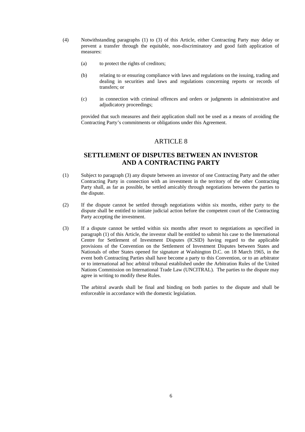- (4) Notwithstanding paragraphs (1) to (3) of this Article, either Contracting Party may delay or prevent a transfer through the equitable, non-discriminatory and good faith application of measures:
	- (a) to protect the rights of creditors;
	- (b) relating to or ensuring compliance with laws and regulations on the issuing, trading and dealing in securities and laws and regulations concerning reports or records of transfers; or
	- (c) in connection with criminal offences and orders or judgments in administrative and adjudicatory proceedings;

 provided that such measures and their application shall not be used as a means of avoiding the Contracting Party's commitments or obligations under this Agreement.

#### ARTICLE 8

#### **SETTLEMENT OF DISPUTES BETWEEN AN INVESTOR AND A CONTRACTING PARTY**

- (1) Subject to paragraph (3) any dispute between an investor of one Contracting Party and the other Contracting Party in connection with an investment in the territory of the other Contracting Party shall, as far as possible, be settled amicably through negotiations between the parties to the dispute.
- (2) If the dispute cannot be settled through negotiations within six months, either party to the dispute shall be entitled to initiate judicial action before the competent court of the Contracting Party accepting the investment.
- (3) If a dispute cannot be settled within six months after resort to negotiations as specified in paragraph (1) of this Article, the investor shall be entitled to submit his case to the International Centre for Settlement of Investment Disputes (ICSID) having regard to the applicable provisions of the Convention on the Settlement of Investment Disputes between States and Nationals of other States opened for signature at Washington D.C. on 18 March 1965, in the event both Contracting Parties shall have become a party to this Convention, or to an arbitrator or to international ad hoc arbitral tribunal established under the Arbitration Rules of the United Nations Commission on International Trade Law (UNCITRAL). The parties to the dispute may agree in writing to modify these Rules.

 The arbitral awards shall be final and binding on both parties to the dispute and shall be enforceable in accordance with the domestic legislation.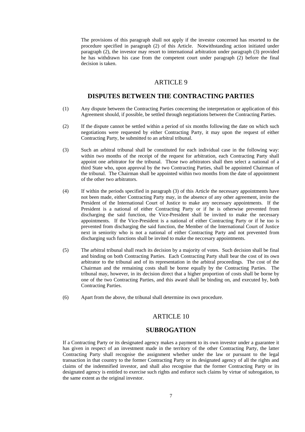The provisions of this paragraph shall not apply if the investor concerned has resorted to the procedure specified in paragraph (2) of this Article. Notwithstanding action initiated under paragraph (2), the investor may resort to international arbitration under paragraph (3) provided he has withdrawn his case from the competent court under paragraph (2) before the final decision is taken.

#### ARTICLE 9

#### **DISPUTES BETWEEN THE CONTRACTING PARTIES**

- (1) Any dispute between the Contracting Parties concerning the interpretation or application of this Agreement should, if possible, be settled through negotiations between the Contracting Parties.
- (2) If the dispute cannot be settled within a period of six months following the date on which such negotiations were requested by either Contracting Party, it may upon the request of either Contracting Party, be submitted to an arbitral tribunal.
- (3) Such an arbitral tribunal shall be constituted for each individual case in the following way: within two months of the receipt of the request for arbitration, each Contracting Party shall appoint one arbitrator for the tribunal. Those two arbitrators shall then select a national of a third State who, upon approval by the two Contracting Parties, shall be appointed Chairman of the tribunal. The Chairman shall be appointed within two months from the date of appointment of the other two arbitrators.
- (4) If within the periods specified in paragraph (3) of this Article the necessary appointments have not been made, either Contracting Party may, in the absence of any other agreement, invite the President of the International Court of Justice to make any necessary appointments. If the President is a national of either Contracting Party or if he is otherwise prevented from discharging the said function, the Vice-President shall be invited to make the necessary appointments. If the Vice-President is a national of either Contracting Party or if he too is prevented from discharging the said function, the Member of the International Court of Justice next in seniority who is not a national of either Contracting Party and not prevented from discharging such functions shall be invited to make the neccesary appointments.
- (5) The arbitral tribunal shall reach its decision by a majority of votes. Such decision shall be final and binding on both Contracting Parties. Each Contracting Party shall bear the cost of its own arbitrator to the tribunal and of its representation in the arbitral proceedings. The cost of the Chairman and the remaining costs shall be borne equally by the Contracting Parties. The tribunal may, however, in its decision direct that a higher proportion of costs shall be borne by one of the two Contracting Parties, and this award shall be binding on, and executed by, both Contracting Parties.
- (6) Apart from the above, the tribunal shall determine its own procedure.

#### ARTICLE 10

#### **SUBROGATION**

If a Contracting Party or its designated agency makes a payment to its own investor under a guarantee it has given in respect of an investment made in the territory of the other Contracting Party, the latter Contracting Party shall recognise the assignment whether under the law or pursuant to the legal transaction in that country to the former Contracting Party or its designated agency of all the rights and claims of the indemnified investor, and shall also recognise that the former Contracting Party or its designated agency is entitled to exercise such rights and enforce such claims by virtue of subrogation, to the same extent as the original investor.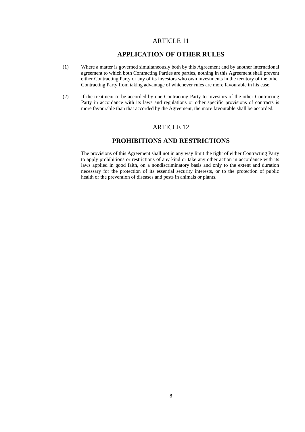#### **APPLICATION OF OTHER RULES**

- (1) Where a matter is governed simultaneously both by this Agreement and by another international agreement to which both Contracting Parties are parties, nothing in this Agreement shall prevent either Contracting Party or any of its investors who own investments in the territory of the other Contracting Party from taking advantage of whichever rules are more favourable in his case.
- (2) If the treatment to be accorded by one Contracting Party to investors of the other Contracting Party in accordance with its laws and regulations or other specific provisions of contracts is more favourable than that accorded by the Agreement, the more favourable shall be accorded.

#### ARTICLE 12

#### **PROHIBITIONS AND RESTRICTIONS**

 The provisions of this Agreement shall not in any way limit the right of either Contracting Party to apply prohibitions or restrictions of any kind or take any other action in accordance with its laws applied in good faith, on a nondiscriminatory basis and only to the extent and duration necessary for the protection of its essential security interests, or to the protection of public health or the prevention of diseases and pests in animals or plants.